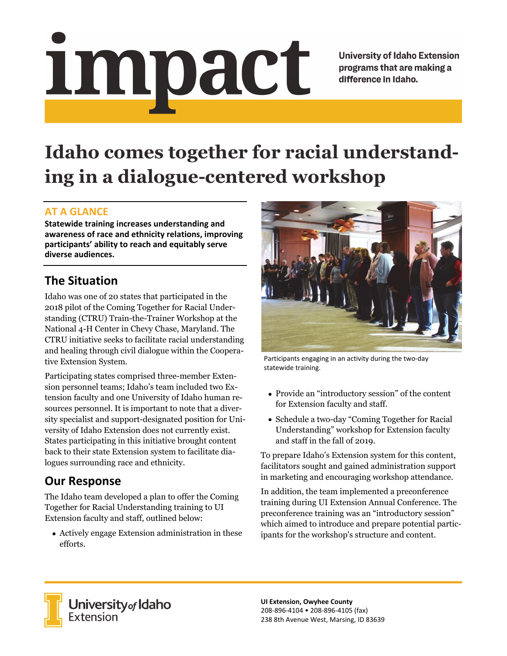# Impact

**University of Idaho Extension** programs that are making a difference in Idaho.

# **Idaho comes together for racial understanding in a dialogue-centered workshop**

#### **AT A GLANCE**

**Statewide training increases understanding and awareness of race and ethnicity relations, improving participants' ability to reach and equitably serve diverse audiences.**

## **The Situation**

Idaho was one of 20 states that participated in the 2018 pilot of the Coming Together for Racial Understanding (CTRU) Train-the-Trainer Workshop at the National 4-H Center in Chevy Chase, Maryland. The CTRU initiative seeks to facilitate racial understanding and healing through civil dialogue within the Cooperative Extension System.

Participating states comprised three-member Extension personnel teams; Idaho's team included two Extension faculty and one University of Idaho human resources personnel. It is important to note that a diversity specialist and support-designated position for University of Idaho Extension does not currently exist. States participating in this initiative brought content back to their state Extension system to facilitate dialogues surrounding race and ethnicity.

# **Our Response**

The Idaho team developed a plan to offer the Coming Together for Racial Understanding training to UI Extension faculty and staff, outlined below:

 Actively engage Extension administration in these efforts.



Participants engaging in an activity during the two‐day statewide training.

- Provide an "introductory session" of the content for Extension faculty and staff.
- Schedule a two-day "Coming Together for Racial Understanding" workshop for Extension faculty and staff in the fall of 2019.

To prepare Idaho's Extension system for this content, facilitators sought and gained administration support in marketing and encouraging workshop attendance.

In addition, the team implemented a preconference training during UI Extension Annual Conference. The preconference training was an "introductory session" which aimed to introduce and prepare potential participants for the workshop's structure and content.



University of Idaho<br>Extension

**UI Extension, Owyhee County** 208‐896‐4104 • 208‐896‐4105 (fax) 238 8th Avenue West, Marsing, ID 83639